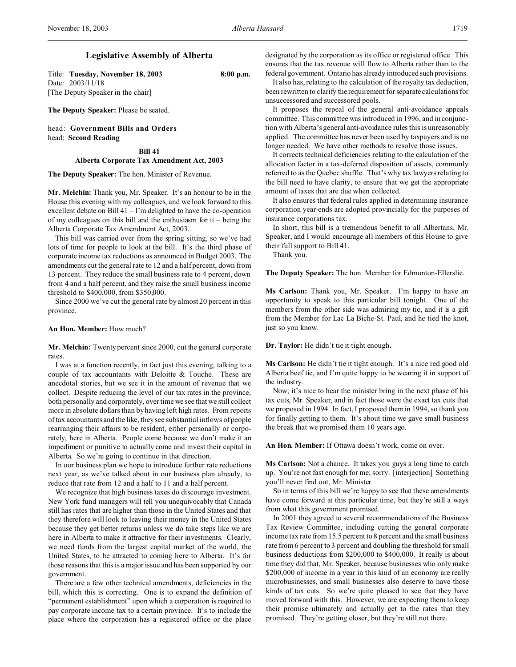# **Legislative Assembly of Alberta**

Title: **Tuesday, November 18, 2003 8:00 p.m.** Date: 2003/11/18 [The Deputy Speaker in the chair]

**The Deputy Speaker:** Please be seated.

head: **Government Bills and Orders** head: **Second Reading**

> **Bill 41 Alberta Corporate Tax Amendment Act, 2003**

**The Deputy Speaker:** The hon. Minister of Revenue.

**Mr. Melchin:** Thank you, Mr. Speaker. It's an honour to be in the House this evening with my colleagues, and we look forward to this excellent debate on Bill  $41 - I'm$  delighted to have the co-operation of my colleagues on this bill and the enthusiasm for it – being the Alberta Corporate Tax Amendment Act, 2003.

This bill was carried over from the spring sitting, so we've had lots of time for people to look at the bill. It's the third phase of corporate income tax reductions as announced in Budget 2003. The amendments cut the general rate to 12 and a half percent, down from 13 percent. They reduce the small business rate to 4 percent, down from 4 and a half percent, and they raise the small business income threshold to \$400,000, from \$350,000.

Since 2000 we've cut the general rate by almost 20 percent in this province.

### **An Hon. Member:** How much?

**Mr. Melchin:** Twenty percent since 2000, cut the general corporate rates.

I was at a function recently, in fact just this evening, talking to a couple of tax accountants with Deloitte & Touche. These are anecdotal stories, but we see it in the amount of revenue that we collect. Despite reducing the level of our tax rates in the province, both personally and corporately, over time we see that we still collect more in absolute dollars than by having left high rates. From reports of tax accountants and the like, they see substantial inflows of people rearranging their affairs to be resident, either personally or corporately, here in Alberta. People come because we don't make it an impediment or punitive to actually come and invest their capital in Alberta. So we're going to continue in that direction.

In our business plan we hope to introduce further rate reductions next year, as we've talked about in our business plan already, to reduce that rate from 12 and a half to 11 and a half percent.

We recognize that high business taxes do discourage investment. New York fund managers will tell you unequivocably that Canada still has rates that are higher than those in the United States and that they therefore will look to leaving their money in the United States because they get better returns unless we do take steps like we are here in Alberta to make it attractive for their investments. Clearly, we need funds from the largest capital market of the world, the United States, to be attracted to coming here to Alberta. It's for those reasons that this is a major issue and has been supported by our government.

There are a few other technical amendments, deficiencies in the bill, which this is correcting. One is to expand the definition of "permanent establishment" upon which a corporation is required to pay corporate income tax to a certain province. It's to include the place where the corporation has a registered office or the place

designated by the corporation as its office or registered office. This ensures that the tax revenue will flow to Alberta rather than to the federal government. Ontario has already introduced such provisions.

It also has, relating to the calculation of the royalty tax deduction, been rewritten to clarify the requirement for separate calculations for unsuccessored and successored pools.

It proposes the repeal of the general anti-avoidance appeals committee. This committee was introduced in 1996, and in conjunction with Alberta's general anti-avoidance rules this is unreasonably applied. The committee has never been used by taxpayers and is no longer needed. We have other methods to resolve those issues.

It corrects technical deficiencies relating to the calculation of the allocation factor in a tax-deferred disposition of assets, commonly referred to as the Quebec shuffle. That's why tax lawyers relating to the bill need to have clarity, to ensure that we get the appropriate amount of taxes that are due when collected.

It also ensures that federal rules applied in determining insurance corporation year-ends are adopted provincially for the purposes of insurance corporations tax.

In short, this bill is a tremendous benefit to all Albertans, Mr. Speaker, and I would encourage all members of this House to give their full support to Bill 41.

Thank you.

**The Deputy Speaker:** The hon. Member for Edmonton-Ellerslie.

**Ms Carlson:** Thank you, Mr. Speaker. I'm happy to have an opportunity to speak to this particular bill tonight. One of the members from the other side was admiring my tie, and it is a gift from the Member for Lac La Biche-St. Paul, and he tied the knot, just so you know.

**Dr. Taylor:** He didn't tie it tight enough.

**Ms Carlson:** He didn't tie it tight enough. It's a nice red good old Alberta beef tie, and I'm quite happy to be wearing it in support of the industry.

Now, it's nice to hear the minister bring in the next phase of his tax cuts, Mr. Speaker, and in fact those were the exact tax cuts that we proposed in 1994. In fact, I proposed them in 1994, so thank you for finally getting to them. It's about time we gave small business the break that we promised them 10 years ago.

**An Hon. Member:** If Ottawa doesn't work, come on over.

**Ms Carlson:** Not a chance. It takes you guys a long time to catch up. You're not fast enough for me; sorry. [interjection] Something you'll never find out, Mr. Minister.

So in terms of this bill we're happy to see that these amendments have come forward at this particular time, but they're still a ways from what this government promised.

In 2001 they agreed to several recommendations of the Business Tax Review Committee, including cutting the general corporate income tax rate from 15.5 percent to 8 percent and the small business rate from 6 percent to 3 percent and doubling the threshold for small business deductions from \$200,000 to \$400,000. It really is about time they did that, Mr. Speaker, because businesses who only make \$200,000 of income in a year in this kind of an economy are really microbusinesses, and small businesses also deserve to have those kinds of tax cuts. So we're quite pleased to see that they have moved forward with this. However, we are expecting them to keep their promise ultimately and actually get to the rates that they promised. They're getting closer, but they're still not there.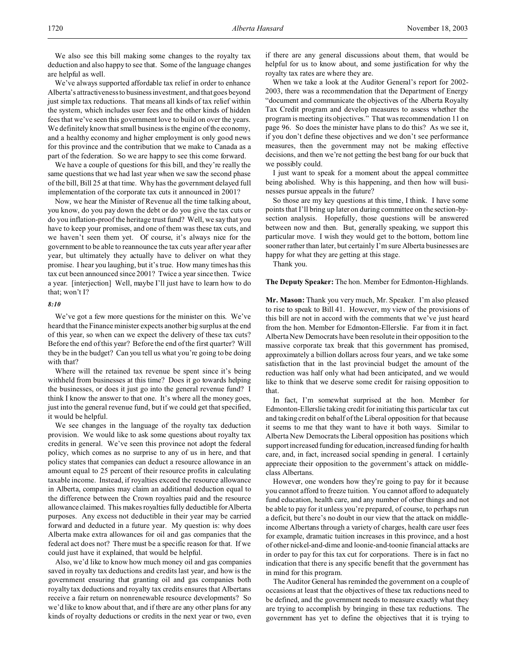We also see this bill making some changes to the royalty tax deduction and also happy to see that. Some of the language changes are helpful as well.

We've always supported affordable tax relief in order to enhance Alberta's attractiveness to businessinvestment, and that goes beyond just simple tax reductions. That means all kinds of tax relief within the system, which includes user fees and the other kinds of hidden fees that we've seen this government love to build on over the years. We definitely know that small business is the engine of the economy, and a healthy economy and higher employment is only good news for this province and the contribution that we make to Canada as a part of the federation. So we are happy to see this come forward.

We have a couple of questions for this bill, and they're really the same questions that we had last year when we saw the second phase of the bill, Bill 25 at that time. Why has the government delayed full implementation of the corporate tax cuts it announced in 2001?

Now, we hear the Minister of Revenue all the time talking about, you know, do you pay down the debt or do you give the tax cuts or do you inflation-proof the heritage trust fund? Well, we say that you have to keep your promises, and one of them was these tax cuts, and we haven't seen them yet. Of course, it's always nice for the government to be able to reannounce the tax cuts year after year after year, but ultimately they actually have to deliver on what they promise. I hear you laughing, but it's true. How many times has this tax cut been announced since 2001? Twice a year since then. Twice a year. [interjection] Well, maybe I'll just have to learn how to do that; won't I?

## *8:10*

We've got a few more questions for the minister on this. We've heard that the Finance minister expects another big surplus at the end of this year, so when can we expect the delivery of these tax cuts? Before the end of this year? Before the end of the first quarter? Will they be in the budget? Can you tell us what you're going to be doing with that?

Where will the retained tax revenue be spent since it's being withheld from businesses at this time? Does it go towards helping the businesses, or does it just go into the general revenue fund? I think I know the answer to that one. It's where all the money goes, just into the general revenue fund, but if we could get that specified, it would be helpful.

We see changes in the language of the royalty tax deduction provision. We would like to ask some questions about royalty tax credits in general. We've seen this province not adopt the federal policy, which comes as no surprise to any of us in here, and that policy states that companies can deduct a resource allowance in an amount equal to 25 percent of their resource profits in calculating taxable income. Instead, if royalties exceed the resource allowance in Alberta, companies may claim an additional deduction equal to the difference between the Crown royalties paid and the resource allowance claimed. This makes royalties fully deductible for Alberta purposes. Any excess not deductible in their year may be carried forward and deducted in a future year. My question is: why does Alberta make extra allowances for oil and gas companies that the federal act does not? There must be a specific reason for that. If we could just have it explained, that would be helpful.

Also, we'd like to know how much money oil and gas companies saved in royalty tax deductions and credits last year, and how is the government ensuring that granting oil and gas companies both royalty tax deductions and royalty tax credits ensures that Albertans receive a fair return on nonrenewable resource developments? So we'd like to know about that, and if there are any other plans for any kinds of royalty deductions or credits in the next year or two, even if there are any general discussions about them, that would be helpful for us to know about, and some justification for why the royalty tax rates are where they are.

When we take a look at the Auditor General's report for 2002- 2003, there was a recommendation that the Department of Energy "document and communicate the objectives of the Alberta Royalty Tax Credit program and develop measures to assess whether the program is meeting its objectives." That was recommendation 11 on page 96. So does the minister have plans to do this? As we see it, if you don't define these objectives and we don't see performance measures, then the government may not be making effective decisions, and then we're not getting the best bang for our buck that we possibly could.

I just want to speak for a moment about the appeal committee being abolished. Why is this happening, and then how will businesses pursue appeals in the future?

So those are my key questions at this time, I think. I have some points that I'll bring up later on during committee on the section-bysection analysis. Hopefully, those questions will be answered between now and then. But, generally speaking, we support this particular move. I wish they would get to the bottom, bottom line sooner rather than later, but certainly I'm sure Alberta businesses are happy for what they are getting at this stage.

Thank you.

### **The Deputy Speaker:** The hon. Member for Edmonton-Highlands.

**Mr. Mason:** Thank you very much, Mr. Speaker. I'm also pleased to rise to speak to Bill 41. However, my view of the provisions of this bill are not in accord with the comments that we've just heard from the hon. Member for Edmonton-Ellerslie. Far from it in fact. Alberta New Democrats have been resolute in their opposition to the massive corporate tax break that this government has promised, approximately a billion dollars across four years, and we take some satisfaction that in the last provincial budget the amount of the reduction was half only what had been anticipated, and we would like to think that we deserve some credit for raising opposition to that.

In fact, I'm somewhat surprised at the hon. Member for Edmonton-Ellerslie taking credit for initiating this particular tax cut and taking credit on behalf of the Liberal opposition for that because it seems to me that they want to have it both ways. Similar to Alberta New Democrats the Liberal opposition has positions which support increased funding for education, increased funding for health care, and, in fact, increased social spending in general. I certainly appreciate their opposition to the government's attack on middleclass Albertans.

However, one wonders how they're going to pay for it because you cannot afford to freeze tuition. You cannot afford to adequately fund education, health care, and any number of other things and not be able to pay for it unless you're prepared, of course, to perhaps run a deficit, but there's no doubt in our view that the attack on middleincome Albertans through a variety of charges, health care user fees for example, dramatic tuition increases in this province, and a host of other nickel-and-dime and loonie-and-toonie financial attacks are in order to pay for this tax cut for corporations. There is in fact no indication that there is any specific benefit that the government has in mind for this program.

The Auditor General has reminded the government on a couple of occasions at least that the objectives of these tax reductions need to be defined, and the government needs to measure exactly what they are trying to accomplish by bringing in these tax reductions. The government has yet to define the objectives that it is trying to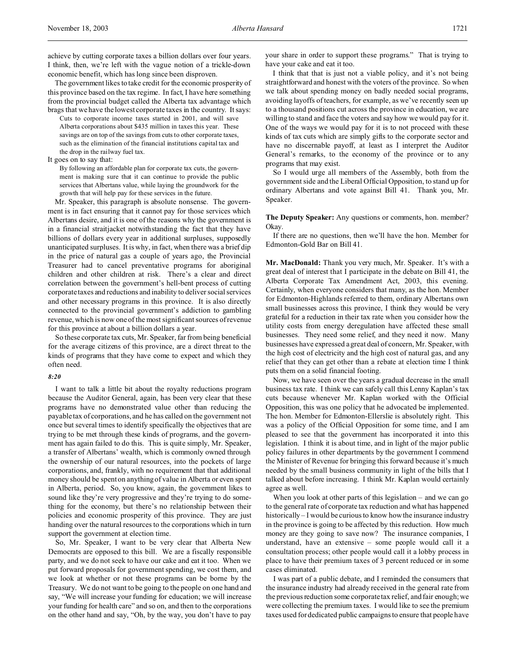achieve by cutting corporate taxes a billion dollars over four years. I think, then, we're left with the vague notion of a trickle-down economic benefit, which has long since been disproven.

The government likes to take credit for the economic prosperity of this province based on the tax regime. In fact, I have here something from the provincial budget called the Alberta tax advantage which brags that we have the lowest corporate taxes in the country. It says:

Cuts to corporate income taxes started in 2001, and will save Alberta corporations about \$435 million in taxes this year. These savings are on top of the savings from cuts to other corporate taxes, such as the elimination of the financial institutions capital tax and the drop in the railway fuel tax.

#### It goes on to say that:

By following an affordable plan for corporate tax cuts, the government is making sure that it can continue to provide the public services that Albertans value, while laying the groundwork for the growth that will help pay for these services in the future.

Mr. Speaker, this paragraph is absolute nonsense. The government is in fact ensuring that it cannot pay for those services which Albertans desire, and it is one of the reasons why the government is in a financial straitjacket notwithstanding the fact that they have billions of dollars every year in additional surpluses, supposedly unanticipated surpluses. It is why, in fact, when there was a brief dip in the price of natural gas a couple of years ago, the Provincial Treasurer had to cancel preventative programs for aboriginal children and other children at risk. There's a clear and direct correlation between the government's hell-bent process of cutting corporate taxes and reductions and inability to deliver social services and other necessary programs in this province. It is also directly connected to the provincial government's addiction to gambling revenue, which is now one of the most significant sources of revenue for this province at about a billion dollars a year.

So these corporate tax cuts, Mr. Speaker, far from being beneficial for the average citizens of this province, are a direct threat to the kinds of programs that they have come to expect and which they often need.

### *8:20*

I want to talk a little bit about the royalty reductions program because the Auditor General, again, has been very clear that these programs have no demonstrated value other than reducing the payable tax of corporations, and he has called on the government not once but several times to identify specifically the objectives that are trying to be met through these kinds of programs, and the government has again failed to do this. This is quite simply, Mr. Speaker, a transfer of Albertans' wealth, which is commonly owned through the ownership of our natural resources, into the pockets of large corporations, and, frankly, with no requirement that that additional money should be spent on anything of value in Alberta or even spent in Alberta, period. So, you know, again, the government likes to sound like they're very progressive and they're trying to do something for the economy, but there's no relationship between their policies and economic prosperity of this province. They are just handing over the natural resources to the corporations which in turn support the government at election time.

So, Mr. Speaker, I want to be very clear that Alberta New Democrats are opposed to this bill. We are a fiscally responsible party, and we do not seek to have our cake and eat it too. When we put forward proposals for government spending, we cost them, and we look at whether or not these programs can be borne by the Treasury. We do not want to be going to the people on one hand and say, "We will increase your funding for education; we will increase your funding for health care" and so on, and then to the corporations on the other hand and say, "Oh, by the way, you don't have to pay

your share in order to support these programs." That is trying to have your cake and eat it too.

I think that that is just not a viable policy, and it's not being straightforward and honest with the voters of the province. So when we talk about spending money on badly needed social programs, avoiding layoffs of teachers, for example, as we've recently seen up to a thousand positions cut across the province in education, we are willing to stand and face the voters and say how we would pay for it. One of the ways we would pay for it is to not proceed with these kinds of tax cuts which are simply gifts to the corporate sector and have no discernable payoff, at least as I interpret the Auditor General's remarks, to the economy of the province or to any programs that may exist.

So I would urge all members of the Assembly, both from the government side and the Liberal Official Opposition, to stand up for ordinary Albertans and vote against Bill 41. Thank you, Mr. Speaker.

**The Deputy Speaker:** Any questions or comments, hon. member? Okay.

If there are no questions, then we'll have the hon. Member for Edmonton-Gold Bar on Bill 41.

**Mr. MacDonald:** Thank you very much, Mr. Speaker. It's with a great deal of interest that I participate in the debate on Bill 41, the Alberta Corporate Tax Amendment Act, 2003, this evening. Certainly, when everyone considers that many, as the hon. Member for Edmonton-Highlands referred to them, ordinary Albertans own small businesses across this province, I think they would be very grateful for a reduction in their tax rate when you consider how the utility costs from energy deregulation have affected these small businesses. They need some relief, and they need it now. Many businesses have expressed a great deal of concern, Mr. Speaker, with the high cost of electricity and the high cost of natural gas, and any relief that they can get other than a rebate at election time I think puts them on a solid financial footing.

Now, we have seen over the years a gradual decrease in the small business tax rate. I think we can safely call this Lenny Kaplan's tax cuts because whenever Mr. Kaplan worked with the Official Opposition, this was one policy that he advocated be implemented. The hon. Member for Edmonton-Ellerslie is absolutely right. This was a policy of the Official Opposition for some time, and I am pleased to see that the government has incorporated it into this legislation. I think it is about time, and in light of the major public policy failures in other departments by the government I commend the Minister of Revenue for bringing this forward because it's much needed by the small business community in light of the bills that I talked about before increasing. I think Mr. Kaplan would certainly agree as well.

When you look at other parts of this legislation – and we can go to the general rate of corporate tax reduction and what has happened historically – I would be curious to know how the insurance industry in the province is going to be affected by this reduction. How much money are they going to save now? The insurance companies, I understand, have an extensive – some people would call it a consultation process; other people would call it a lobby process in place to have their premium taxes of 3 percent reduced or in some cases eliminated.

I was part of a public debate, and I reminded the consumers that the insurance industry had already received in the general rate from the previous reduction some corporate tax relief, and fair enough; we were collecting the premium taxes. I would like to see the premium taxes used for dedicated public campaigns to ensure that people have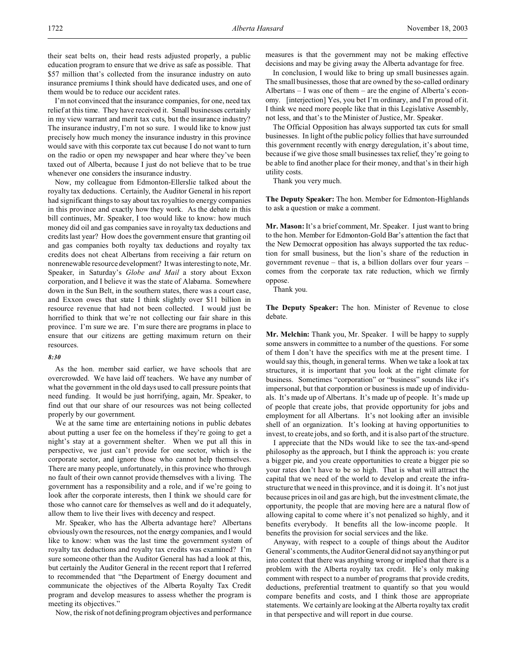their seat belts on, their head rests adjusted properly, a public education program to ensure that we drive as safe as possible. That \$57 million that's collected from the insurance industry on auto insurance premiums I think should have dedicated uses, and one of them would be to reduce our accident rates.

I'm not convinced that the insurance companies, for one, need tax relief at this time. They have received it. Small businesses certainly in my view warrant and merit tax cuts, but the insurance industry? The insurance industry, I'm not so sure. I would like to know just precisely how much money the insurance industry in this province would save with this corporate tax cut because I do not want to turn on the radio or open my newspaper and hear where they've been taxed out of Alberta, because I just do not believe that to be true whenever one considers the insurance industry.

Now, my colleague from Edmonton-Ellerslie talked about the royalty tax deductions. Certainly, the Auditor General in his report had significant things to say about tax royalties to energy companies in this province and exactly how they work. As the debate in this bill continues, Mr. Speaker, I too would like to know: how much money did oil and gas companies save in royalty tax deductions and credits last year? How does the government ensure that granting oil and gas companies both royalty tax deductions and royalty tax credits does not cheat Albertans from receiving a fair return on nonrenewable resource development? It was interesting to note, Mr. Speaker, in Saturday's *Globe and Mail* a story about Exxon corporation, and I believe it was the state of Alabama. Somewhere down in the Sun Belt, in the southern states, there was a court case, and Exxon owes that state I think slightly over \$11 billion in resource revenue that had not been collected. I would just be horrified to think that we're not collecting our fair share in this province. I'm sure we are. I'm sure there are programs in place to ensure that our citizens are getting maximum return on their resources.

#### *8:30*

As the hon. member said earlier, we have schools that are overcrowded. We have laid off teachers. We have any number of what the government in the old days used to call pressure points that need funding. It would be just horrifying, again, Mr. Speaker, to find out that our share of our resources was not being collected properly by our government.

We at the same time are entertaining notions in public debates about putting a user fee on the homeless if they're going to get a night's stay at a government shelter. When we put all this in perspective, we just can't provide for one sector, which is the corporate sector, and ignore those who cannot help themselves. There are many people, unfortunately, in this province who through no fault of their own cannot provide themselves with a living. The government has a responsibility and a role, and if we're going to look after the corporate interests, then I think we should care for those who cannot care for themselves as well and do it adequately, allow them to live their lives with decency and respect.

Mr. Speaker, who has the Alberta advantage here? Albertans obviously own the resources, not the energy companies, and I would like to know: when was the last time the government system of royalty tax deductions and royalty tax credits was examined? I'm sure someone other than the Auditor General has had a look at this, but certainly the Auditor General in the recent report that I referred to recommended that "the Department of Energy document and communicate the objectives of the Alberta Royalty Tax Credit program and develop measures to assess whether the program is meeting its objectives."

Now, the risk of not defining program objectives and performance

measures is that the government may not be making effective decisions and may be giving away the Alberta advantage for free.

In conclusion, I would like to bring up small businesses again. The small businesses, those that are owned by the so-called ordinary Albertans – I was one of them – are the engine of Alberta's economy. [interjection] Yes, you bet I'm ordinary, and I'm proud of it. I think we need more people like that in this Legislative Assembly, not less, and that's to the Minister of Justice, Mr. Speaker.

The Official Opposition has always supported tax cuts for small businesses. In light of the public policy follies that have surrounded this government recently with energy deregulation, it's about time, because if we give those small businesses tax relief, they're going to be able to find another place for their money, and that's in their high utility costs.

Thank you very much.

**The Deputy Speaker:** The hon. Member for Edmonton-Highlands to ask a question or make a comment.

**Mr. Mason:** It's a brief comment, Mr. Speaker. I just want to bring to the hon. Member for Edmonton-Gold Bar's attention the fact that the New Democrat opposition has always supported the tax reduction for small business, but the lion's share of the reduction in government revenue – that is, a billion dollars over four years – comes from the corporate tax rate reduction, which we firmly oppose.

Thank you.

**The Deputy Speaker:** The hon. Minister of Revenue to close debate.

**Mr. Melchin:** Thank you, Mr. Speaker. I will be happy to supply some answers in committee to a number of the questions. For some of them I don't have the specifics with me at the present time. I would say this, though, in general terms. When we take a look at tax structures, it is important that you look at the right climate for business. Sometimes "corporation" or "business" sounds like it's impersonal, but that corporation or business is made up of individuals. It's made up of Albertans. It's made up of people. It's made up of people that create jobs, that provide opportunity for jobs and employment for all Albertans. It's not looking after an invisible shell of an organization. It's looking at having opportunities to invest, to create jobs, and so forth, and it is also part of the structure.

I appreciate that the NDs would like to see the tax-and-spend philosophy as the approach, but I think the approach is: you create a bigger pie, and you create opportunities to create a bigger pie so your rates don't have to be so high. That is what will attract the capital that we need of the world to develop and create the infrastructure that we need in this province, and it is doing it. It's not just because prices in oil and gas are high, but the investment climate, the opportunity, the people that are moving here are a natural flow of allowing capital to come where it's not penalized so highly, and it benefits everybody. It benefits all the low-income people. It benefits the provision for social services and the like.

Anyway, with respect to a couple of things about the Auditor General's comments, the Auditor General did not say anything or put into context that there was anything wrong or implied that there is a problem with the Alberta royalty tax credit. He's only making comment with respect to a number of programs that provide credits, deductions, preferential treatment to quantify so that you would compare benefits and costs, and I think those are appropriate statements. We certainly are looking at the Alberta royalty tax credit in that perspective and will report in due course.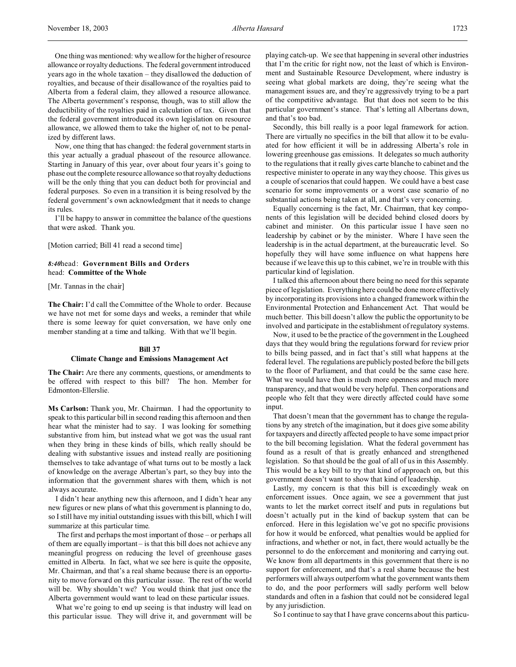One thing was mentioned: why we allow for the higher of resource allowance or royalty deductions. The federal government introduced years ago in the whole taxation – they disallowed the deduction of royalties, and because of their disallowance of the royalties paid to Alberta from a federal claim, they allowed a resource allowance. The Alberta government's response, though, was to still allow the deductibility of the royalties paid in calculation of tax. Given that the federal government introduced its own legislation on resource allowance, we allowed them to take the higher of, not to be penalized by different laws.

Now, one thing that has changed: the federal government starts in this year actually a gradual phaseout of the resource allowance. Starting in January of this year, over about four years it's going to phase out the complete resource allowance so that royalty deductions will be the only thing that you can deduct both for provincial and federal purposes. So even in a transition it is being resolved by the federal government's own acknowledgment that it needs to change its rules.

I'll be happy to answer in committee the balance of the questions that were asked. Thank you.

[Motion carried; Bill 41 read a second time]

*8:40*head: **Government Bills and Orders** head: **Committee of the Whole**

[Mr. Tannas in the chair]

**The Chair:** I'd call the Committee of the Whole to order. Because we have not met for some days and weeks, a reminder that while there is some leeway for quiet conversation, we have only one member standing at a time and talking. With that we'll begin.

## **Bill 37 Climate Change and Emissions Management Act**

**The Chair:** Are there any comments, questions, or amendments to be offered with respect to this bill? The hon. Member for Edmonton-Ellerslie.

**Ms Carlson:** Thank you, Mr. Chairman. I had the opportunity to speak to this particular bill in second reading this afternoon and then hear what the minister had to say. I was looking for something substantive from him, but instead what we got was the usual rant when they bring in these kinds of bills, which really should be dealing with substantive issues and instead really are positioning themselves to take advantage of what turns out to be mostly a lack of knowledge on the average Albertan's part, so they buy into the information that the government shares with them, which is not always accurate.

I didn't hear anything new this afternoon, and I didn't hear any new figures or new plans of what this government is planning to do, so I still have my initial outstanding issues with this bill, which I will summarize at this particular time.

 The first and perhaps the most important of those – or perhaps all of them are equally important – is that this bill does not achieve any meaningful progress on reducing the level of greenhouse gases emitted in Alberta. In fact, what we see here is quite the opposite, Mr. Chairman, and that's a real shame because there is an opportunity to move forward on this particular issue. The rest of the world will be. Why shouldn't we? You would think that just once the Alberta government would want to lead on these particular issues.

What we're going to end up seeing is that industry will lead on this particular issue. They will drive it, and government will be

playing catch-up. We see that happening in several other industries that I'm the critic for right now, not the least of which is Environment and Sustainable Resource Development, where industry is seeing what global markets are doing, they're seeing what the management issues are, and they're aggressively trying to be a part of the competitive advantage. But that does not seem to be this particular government's stance. That's letting all Albertans down, and that's too bad.

Secondly, this bill really is a poor legal framework for action. There are virtually no specifics in the bill that allow it to be evaluated for how efficient it will be in addressing Alberta's role in lowering greenhouse gas emissions. It delegates so much authority to the regulations that it really gives carte blanche to cabinet and the respective minister to operate in any way they choose. This gives us a couple of scenarios that could happen. We could have a best case scenario for some improvements or a worst case scenario of no substantial actions being taken at all, and that's very concerning.

Equally concerning is the fact, Mr. Chairman, that key components of this legislation will be decided behind closed doors by cabinet and minister. On this particular issue I have seen no leadership by cabinet or by the minister. Where I have seen the leadership is in the actual department, at the bureaucratic level. So hopefully they will have some influence on what happens here because if we leave this up to this cabinet, we're in trouble with this particular kind of legislation.

I talked this afternoon about there being no need for this separate piece of legislation. Everything here could be done more effectively by incorporating its provisions into a changed framework within the Environmental Protection and Enhancement Act. That would be much better. This bill doesn't allow the public the opportunity to be involved and participate in the establishment of regulatory systems.

Now, it used to be the practice of the government in the Lougheed days that they would bring the regulations forward for review prior to bills being passed, and in fact that's still what happens at the federal level. The regulations are publicly posted before the bill gets to the floor of Parliament, and that could be the same case here. What we would have then is much more openness and much more transparency, and that would be very helpful. Then corporations and people who felt that they were directly affected could have some input.

That doesn't mean that the government has to change the regulations by any stretch of the imagination, but it does give some ability for taxpayers and directly affected people to have some impact prior to the bill becoming legislation. What the federal government has found as a result of that is greatly enhanced and strengthened legislation. So that should be the goal of all of us in this Assembly. This would be a key bill to try that kind of approach on, but this government doesn't want to show that kind of leadership.

Lastly, my concern is that this bill is exceedingly weak on enforcement issues. Once again, we see a government that just wants to let the market correct itself and puts in regulations but doesn't actually put in the kind of backup system that can be enforced. Here in this legislation we've got no specific provisions for how it would be enforced, what penalties would be applied for infractions, and whether or not, in fact, there would actually be the personnel to do the enforcement and monitoring and carrying out. We know from all departments in this government that there is no support for enforcement, and that's a real shame because the best performers will always outperform what the government wants them to do, and the poor performers will sadly perform well below standards and often in a fashion that could not be considered legal by any jurisdiction.

So I continue to say that I have grave concerns about this particu-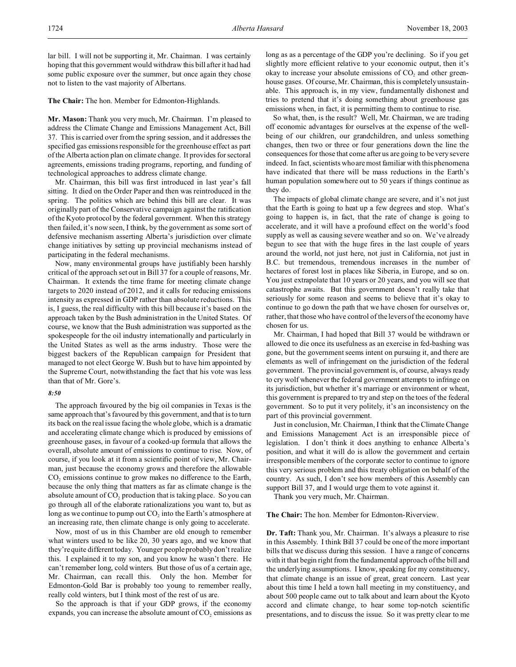**The Chair:** The hon. Member for Edmonton-Highlands.

**Mr. Mason:** Thank you very much, Mr. Chairman. I'm pleased to address the Climate Change and Emissions Management Act, Bill 37. This is carried over from the spring session, and it addresses the specified gas emissions responsible for the greenhouse effect as part of the Alberta action plan on climate change. It provides for sectoral agreements, emissions trading programs, reporting, and funding of technological approaches to address climate change.

Mr. Chairman, this bill was first introduced in last year's fall sitting. It died on the Order Paper and then was reintroduced in the spring. The politics which are behind this bill are clear. It was originally part of the Conservative campaign against the ratification of the Kyoto protocol by the federal government. When this strategy then failed, it's now seen, I think, by the government as some sort of defensive mechanism asserting Alberta's jurisdiction over climate change initiatives by setting up provincial mechanisms instead of participating in the federal mechanisms.

Now, many environmental groups have justifiably been harshly critical of the approach set out in Bill 37 for a couple of reasons, Mr. Chairman. It extends the time frame for meeting climate change targets to 2020 instead of 2012, and it calls for reducing emissions intensity as expressed in GDP rather than absolute reductions. This is, I guess, the real difficulty with this bill because it's based on the approach taken by the Bush administration in the United States. Of course, we know that the Bush administration was supported as the spokespeople for the oil industry internationally and particularly in the United States as well as the arms industry. Those were the biggest backers of the Republican campaign for President that managed to not elect George W. Bush but to have him appointed by the Supreme Court, notwithstanding the fact that his vote was less than that of Mr. Gore's.

### *8:50*

The approach favoured by the big oil companies in Texas is the same approach that's favoured by this government, and that is to turn its back on the real issue facing the whole globe, which is a dramatic and accelerating climate change which is produced by emissions of greenhouse gases, in favour of a cooked-up formula that allows the overall, absolute amount of emissions to continue to rise. Now, of course, if you look at it from a scientific point of view, Mr. Chairman, just because the economy grows and therefore the allowable  $CO<sub>2</sub>$  emissions continue to grow makes no difference to the Earth, because the only thing that matters as far as climate change is the absolute amount of  $\mathrm{CO}_2$  production that is taking place. So you can go through all of the elaborate rationalizations you want to, but as long as we continue to pump out  $CO<sub>2</sub>$  into the Earth's atmosphere at an increasing rate, then climate change is only going to accelerate.

Now, most of us in this Chamber are old enough to remember what winters used to be like 20, 30 years ago, and we know that they're quite different today. Younger people probably don't realize this. I explained it to my son, and you know he wasn't there. He can't remember long, cold winters. But those of us of a certain age, Mr. Chairman, can recall this. Only the hon. Member for Edmonton-Gold Bar is probably too young to remember really, really cold winters, but I think most of the rest of us are.

So the approach is that if your GDP grows, if the economy expands, you can increase the absolute amount of  $CO<sub>2</sub>$  emissions as

long as as a percentage of the GDP you're declining. So if you get slightly more efficient relative to your economic output, then it's okay to increase your absolute emissions of  $CO<sub>2</sub>$  and other greenhouse gases. Of course, Mr. Chairman, this is completely unsustainable. This approach is, in my view, fundamentally dishonest and tries to pretend that it's doing something about greenhouse gas emissions when, in fact, it is permitting them to continue to rise.

So what, then, is the result? Well, Mr. Chairman, we are trading off economic advantages for ourselves at the expense of the wellbeing of our children, our grandchildren, and unless something changes, then two or three or four generations down the line the consequences for those that come after us are going to be very severe indeed. In fact, scientists who are most familiar with this phenomena have indicated that there will be mass reductions in the Earth's human population somewhere out to 50 years if things continue as they do.

The impacts of global climate change are severe, and it's not just that the Earth is going to heat up a few degrees and stop. What's going to happen is, in fact, that the rate of change is going to accelerate, and it will have a profound effect on the world's food supply as well as causing severe weather and so on. We've already begun to see that with the huge fires in the last couple of years around the world, not just here, not just in California, not just in B.C. but tremendous, tremendous increases in the number of hectares of forest lost in places like Siberia, in Europe, and so on. You just extrapolate that 10 years or 20 years, and you will see that catastrophe awaits. But this government doesn't really take that seriously for some reason and seems to believe that it's okay to continue to go down the path that we have chosen for ourselves or, rather, that those who have control of the levers of the economy have chosen for us.

Mr. Chairman, I had hoped that Bill 37 would be withdrawn or allowed to die once its usefulness as an exercise in fed-bashing was gone, but the government seems intent on pursuing it, and there are elements as well of infringement on the jurisdiction of the federal government. The provincial government is, of course, always ready to cry wolf whenever the federal government attempts to infringe on its jurisdiction, but whether it's marriage or environment or wheat, this government is prepared to try and step on the toes of the federal government. So to put it very politely, it's an inconsistency on the part of this provincial government.

Just in conclusion, Mr. Chairman, I think that the Climate Change and Emissions Management Act is an irresponsible piece of legislation. I don't think it does anything to enhance Alberta's position, and what it will do is allow the government and certain irresponsible members of the corporate sector to continue to ignore this very serious problem and this treaty obligation on behalf of the country. As such, I don't see how members of this Assembly can support Bill 37, and I would urge them to vote against it.

Thank you very much, Mr. Chairman.

#### **The Chair:** The hon. Member for Edmonton-Riverview.

**Dr. Taft:** Thank you, Mr. Chairman. It's always a pleasure to rise in this Assembly. I think Bill 37 could be one of the more important bills that we discuss during this session. I have a range of concerns with it that begin right from the fundamental approach of the bill and the underlying assumptions. I know, speaking for my constituency, that climate change is an issue of great, great concern. Last year about this time I held a town hall meeting in my constituency, and about 500 people came out to talk about and learn about the Kyoto accord and climate change, to hear some top-notch scientific presentations, and to discuss the issue. So it was pretty clear to me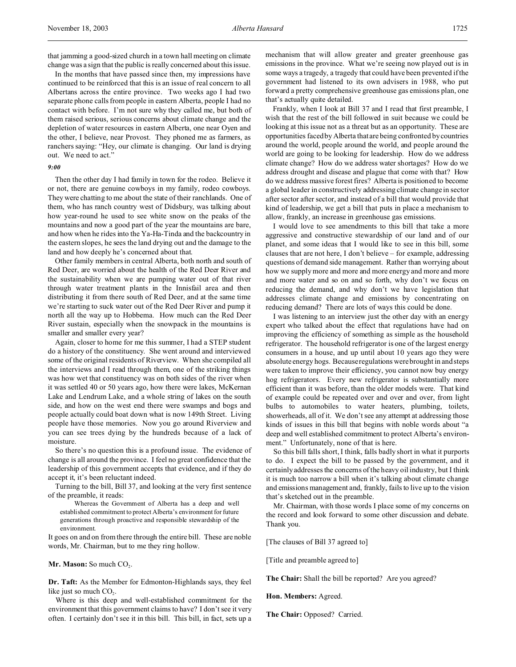that jamming a good-sized church in a town hall meeting on climate change was a sign that the public is really concerned about this issue.

In the months that have passed since then, my impressions have continued to be reinforced that this is an issue of real concern to all Albertans across the entire province. Two weeks ago I had two separate phone calls from people in eastern Alberta, people I had no contact with before. I'm not sure why they called me, but both of them raised serious, serious concerns about climate change and the depletion of water resources in eastern Alberta, one near Oyen and the other, I believe, near Provost. They phoned me as farmers, as ranchers saying: "Hey, our climate is changing. Our land is drying out. We need to act."

## *9:00*

Then the other day I had family in town for the rodeo. Believe it or not, there are genuine cowboys in my family, rodeo cowboys. They were chatting to me about the state of their ranchlands. One of them, who has ranch country west of Didsbury, was talking about how year-round he used to see white snow on the peaks of the mountains and now a good part of the year the mountains are bare, and how when he rides into the Ya-Ha-Tinda and the backcountry in the eastern slopes, he sees the land drying out and the damage to the land and how deeply he's concerned about that.

Other family members in central Alberta, both north and south of Red Deer, are worried about the health of the Red Deer River and the sustainability when we are pumping water out of that river through water treatment plants in the Innisfail area and then distributing it from there south of Red Deer, and at the same time we're starting to suck water out of the Red Deer River and pump it north all the way up to Hobbema. How much can the Red Deer River sustain, especially when the snowpack in the mountains is smaller and smaller every year?

Again, closer to home for me this summer, I had a STEP student do a history of the constituency. She went around and interviewed some of the original residents of Riverview. When she compiled all the interviews and I read through them, one of the striking things was how wet that constituency was on both sides of the river when it was settled 40 or 50 years ago, how there were lakes, McKernan Lake and Lendrum Lake, and a whole string of lakes on the south side, and how on the west end there were swamps and bogs and people actually could boat down what is now 149th Street. Living people have those memories. Now you go around Riverview and you can see trees dying by the hundreds because of a lack of moisture.

So there's no question this is a profound issue. The evidence of change is all around the province. I feel no great confidence that the leadership of this government accepts that evidence, and if they do accept it, it's been reluctant indeed.

Turning to the bill, Bill 37, and looking at the very first sentence of the preamble, it reads:

Whereas the Government of Alberta has a deep and well established commitment to protect Alberta's environment for future generations through proactive and responsible stewardship of the environment.

It goes on and on from there through the entire bill. These are noble words, Mr. Chairman, but to me they ring hollow.

**Mr. Mason:** So much CO<sub>2</sub>.

**Dr. Taft:** As the Member for Edmonton-Highlands says, they feel like just so much  $CO<sub>2</sub>$ .

Where is this deep and well-established commitment for the environment that this government claims to have? I don't see it very often. I certainly don't see it in this bill. This bill, in fact, sets up a

mechanism that will allow greater and greater greenhouse gas emissions in the province. What we're seeing now played out is in some ways a tragedy, a tragedy that could have been prevented if the government had listened to its own advisers in 1988, who put forward a pretty comprehensive greenhouse gas emissions plan, one that's actually quite detailed.

Frankly, when I look at Bill 37 and I read that first preamble, I wish that the rest of the bill followed in suit because we could be looking at this issue not as a threat but as an opportunity. These are opportunities faced by Alberta that are being confronted by countries around the world, people around the world, and people around the world are going to be looking for leadership. How do we address climate change? How do we address water shortages? How do we address drought and disease and plague that come with that? How do we address massive forest fires? Alberta is positioned to become a global leader in constructively addressing climate change in sector after sector after sector, and instead of a bill that would provide that kind of leadership, we get a bill that puts in place a mechanism to allow, frankly, an increase in greenhouse gas emissions.

I would love to see amendments to this bill that take a more aggressive and constructive stewardship of our land and of our planet, and some ideas that I would like to see in this bill, some clauses that are not here, I don't believe – for example, addressing questions of demand side management. Rather than worrying about how we supply more and more and more energy and more and more and more water and so on and so forth, why don't we focus on reducing the demand, and why don't we have legislation that addresses climate change and emissions by concentrating on reducing demand? There are lots of ways this could be done.

I was listening to an interview just the other day with an energy expert who talked about the effect that regulations have had on improving the efficiency of something as simple as the household refrigerator. The household refrigerator is one of the largest energy consumers in a house, and up until about 10 years ago they were absolute energy hogs. Because regulations were brought in and steps were taken to improve their efficiency, you cannot now buy energy hog refrigerators. Every new refrigerator is substantially more efficient than it was before, than the older models were. That kind of example could be repeated over and over and over, from light bulbs to automobiles to water heaters, plumbing, toilets, showerheads, all of it. We don't see any attempt at addressing those kinds of issues in this bill that begins with noble words about "a deep and well established commitment to protect Alberta's environment." Unfortunately, none of that is here.

So this bill falls short, I think, falls badly short in what it purports to do. I expect the bill to be passed by the government, and it certainly addresses the concerns of the heavy oil industry, but I think it is much too narrow a bill when it's talking about climate change and emissions management and, frankly, fails to live up to the vision that's sketched out in the preamble.

Mr. Chairman, with those words I place some of my concerns on the record and look forward to some other discussion and debate. Thank you.

[The clauses of Bill 37 agreed to]

[Title and preamble agreed to]

**The Chair:** Shall the bill be reported? Are you agreed?

**Hon. Members:** Agreed.

**The Chair:** Opposed? Carried.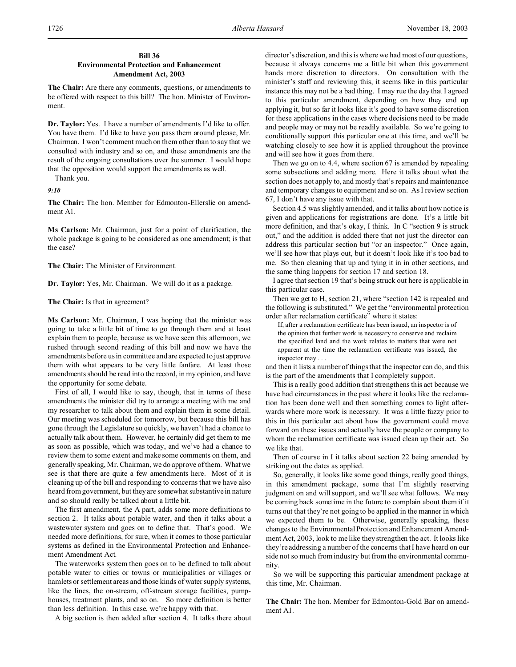## **Bill 36 Environmental Protection and Enhancement Amendment Act, 2003**

**The Chair:** Are there any comments, questions, or amendments to be offered with respect to this bill? The hon. Minister of Environment.

**Dr. Taylor:** Yes. I have a number of amendments I'd like to offer. You have them. I'd like to have you pass them around please, Mr. Chairman. I won't comment much on them other than to say that we consulted with industry and so on, and these amendments are the result of the ongoing consultations over the summer. I would hope that the opposition would support the amendments as well.

Thank you.

*9:10*

**The Chair:** The hon. Member for Edmonton-Ellerslie on amendment A1.

**Ms Carlson:** Mr. Chairman, just for a point of clarification, the whole package is going to be considered as one amendment; is that the case?

**The Chair:** The Minister of Environment.

**Dr. Taylor:** Yes, Mr. Chairman. We will do it as a package.

**The Chair:** Is that in agreement?

**Ms Carlson:** Mr. Chairman, I was hoping that the minister was going to take a little bit of time to go through them and at least explain them to people, because as we have seen this afternoon, we rushed through second reading of this bill and now we have the amendments before us in committee and are expected to just approve them with what appears to be very little fanfare. At least those amendments should be read into the record, in my opinion, and have the opportunity for some debate.

First of all, I would like to say, though, that in terms of these amendments the minister did try to arrange a meeting with me and my researcher to talk about them and explain them in some detail. Our meeting was scheduled for tomorrow, but because this bill has gone through the Legislature so quickly, we haven't had a chance to actually talk about them. However, he certainly did get them to me as soon as possible, which was today, and we've had a chance to review them to some extent and make some comments on them, and generally speaking, Mr. Chairman, we do approve of them. What we see is that there are quite a few amendments here. Most of it is cleaning up of the bill and responding to concerns that we have also heard from government, but they are somewhat substantive in nature and so should really be talked about a little bit.

The first amendment, the A part, adds some more definitions to section 2. It talks about potable water, and then it talks about a wastewater system and goes on to define that. That's good. We needed more definitions, for sure, when it comes to those particular systems as defined in the Environmental Protection and Enhancement Amendment Act.

The waterworks system then goes on to be defined to talk about potable water to cities or towns or municipalities or villages or hamlets or settlement areas and those kinds of water supply systems, like the lines, the on-stream, off-stream storage facilities, pumphouses, treatment plants, and so on. So more definition is better than less definition. In this case, we're happy with that.

A big section is then added after section 4. It talks there about

director's discretion, and this is where we had most of our questions, because it always concerns me a little bit when this government hands more discretion to directors. On consultation with the minister's staff and reviewing this, it seems like in this particular instance this may not be a bad thing. I may rue the day that I agreed to this particular amendment, depending on how they end up applying it, but so far it looks like it's good to have some discretion for these applications in the cases where decisions need to be made and people may or may not be readily available. So we're going to conditionally support this particular one at this time, and we'll be watching closely to see how it is applied throughout the province and will see how it goes from there.

Then we go on to 4.4, where section 67 is amended by repealing some subsections and adding more. Here it talks about what the section does not apply to, and mostly that's repairs and maintenance and temporary changes to equipment and so on. As I review section 67, I don't have any issue with that.

Section 4.5 was slightly amended, and it talks about how notice is given and applications for registrations are done. It's a little bit more definition, and that's okay, I think. In C "section 9 is struck out," and the addition is added there that not just the director can address this particular section but "or an inspector." Once again, we'll see how that plays out, but it doesn't look like it's too bad to me. So then cleaning that up and tying it in in other sections, and the same thing happens for section 17 and section 18.

I agree that section 19 that's being struck out here is applicable in this particular case.

Then we get to H, section 21, where "section 142 is repealed and the following is substituted." We get the "environmental protection order after reclamation certificate" where it states:

If, after a reclamation certificate has been issued, an inspector is of the opinion that further work is necessary to conserve and reclaim the specified land and the work relates to matters that were not apparent at the time the reclamation certificate was issued, the inspector may . . .

and then it lists a number of things that the inspector can do, and this is the part of the amendments that I completely support.

This is a really good addition that strengthens this act because we have had circumstances in the past where it looks like the reclamation has been done well and then something comes to light afterwards where more work is necessary. It was a little fuzzy prior to this in this particular act about how the government could move forward on these issues and actually have the people or company to whom the reclamation certificate was issued clean up their act. So we like that.

Then of course in I it talks about section 22 being amended by striking out the dates as applied.

So, generally, it looks like some good things, really good things, in this amendment package, some that I'm slightly reserving judgment on and will support, and we'll see what follows. We may be coming back sometime in the future to complain about them if it turns out that they're not going to be applied in the manner in which we expected them to be. Otherwise, generally speaking, these changes to the Environmental Protection and Enhancement Amendment Act, 2003, look to me like they strengthen the act. It looks like they're addressing a number of the concerns that I have heard on our side not so much from industry but from the environmental community.

So we will be supporting this particular amendment package at this time, Mr. Chairman.

**The Chair:** The hon. Member for Edmonton-Gold Bar on amendment A1.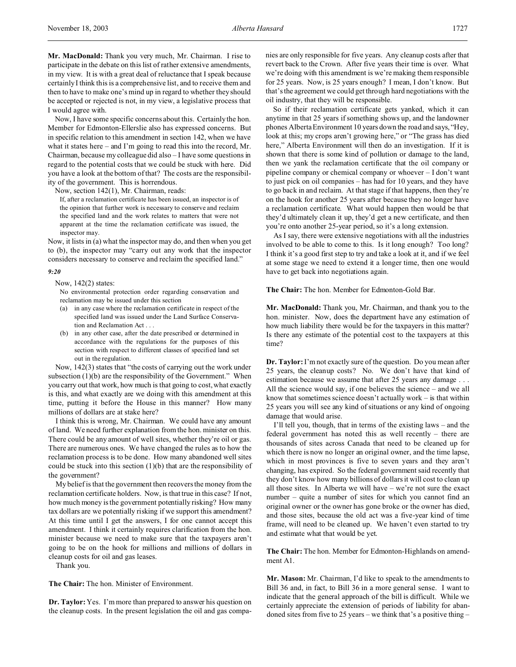**Mr. MacDonald:** Thank you very much, Mr. Chairman. I rise to participate in the debate on this list of rather extensive amendments, in my view. It is with a great deal of reluctance that I speak because certainly I think this is a comprehensive list, and to receive them and then to have to make one's mind up in regard to whether they should be accepted or rejected is not, in my view, a legislative process that I would agree with.

Now, I have some specific concerns about this. Certainly the hon. Member for Edmonton-Ellerslie also has expressed concerns. But in specific relation to this amendment in section 142, when we have what it states here – and I'm going to read this into the record, Mr. Chairman, because my colleague did also – I have some questions in regard to the potential costs that we could be stuck with here. Did you have a look at the bottom of that? The costs are the responsibility of the government. This is horrendous.

Now, section 142(1), Mr. Chairman, reads:

If, after a reclamation certificate has been issued, an inspector is of the opinion that further work is necessary to conserve and reclaim the specified land and the work relates to matters that were not apparent at the time the reclamation certificate was issued, the inspector may.

Now, it lists in (a) what the inspector may do, and then when you get to (b), the inspector may "carry out any work that the inspector considers necessary to conserve and reclaim the specified land."

### *9:20*

Now, 142(2) states:

No environmental protection order regarding conservation and reclamation may be issued under this section

- (a) in any case where the reclamation certificate in respect of the specified land was issued under the Land Surface Conservation and Reclamation Act . . .
- (b) in any other case, after the date prescribed or determined in accordance with the regulations for the purposes of this section with respect to different classes of specified land set out in the regulation.

Now, 142(3) states that "the costs of carrying out the work under subsection  $(1)(b)$  are the responsibility of the Government." When you carry out that work, how much is that going to cost, what exactly is this, and what exactly are we doing with this amendment at this time, putting it before the House in this manner? How many millions of dollars are at stake here?

I think this is wrong, Mr. Chairman. We could have any amount of land. We need further explanation from the hon. minister on this. There could be any amount of well sites, whether they're oil or gas. There are numerous ones. We have changed the rules as to how the reclamation process is to be done. How many abandoned well sites could be stuck into this section  $(1)(b)$  that are the responsibility of the government?

My belief is that the government then recovers the money from the reclamation certificate holders. Now, is that true in this case? If not, how much money is the government potentially risking? How many tax dollars are we potentially risking if we support this amendment? At this time until I get the answers, I for one cannot accept this amendment. I think it certainly requires clarification from the hon. minister because we need to make sure that the taxpayers aren't going to be on the hook for millions and millions of dollars in cleanup costs for oil and gas leases.

Thank you.

**The Chair:** The hon. Minister of Environment.

**Dr. Taylor:** Yes. I'm more than prepared to answer his question on the cleanup costs. In the present legislation the oil and gas companies are only responsible for five years. Any cleanup costs after that revert back to the Crown. After five years their time is over. What we're doing with this amendment is we're making them responsible for 25 years. Now, is 25 years enough? I mean, I don't know. But that's the agreement we could get through hard negotiations with the oil industry, that they will be responsible.

So if their reclamation certificate gets yanked, which it can anytime in that 25 years if something shows up, and the landowner phones Alberta Environment 10 years down the road and says, "Hey, look at this; my crops aren't growing here," or "The grass has died here," Alberta Environment will then do an investigation. If it is shown that there is some kind of pollution or damage to the land, then we yank the reclamation certificate that the oil company or pipeline company or chemical company or whoever – I don't want to just pick on oil companies – has had for 10 years, and they have to go back in and reclaim. At that stage if that happens, then they're on the hook for another 25 years after because they no longer have a reclamation certificate. What would happen then would be that they'd ultimately clean it up, they'd get a new certificate, and then you're onto another 25-year period, so it's a long extension.

As I say, there were extensive negotiations with all the industries involved to be able to come to this. Is it long enough? Too long? I think it's a good first step to try and take a look at it, and if we feel at some stage we need to extend it a longer time, then one would have to get back into negotiations again.

#### **The Chair:** The hon. Member for Edmonton-Gold Bar.

**Mr. MacDonald:** Thank you, Mr. Chairman, and thank you to the hon. minister. Now, does the department have any estimation of how much liability there would be for the taxpayers in this matter? Is there any estimate of the potential cost to the taxpayers at this time?

**Dr. Taylor:**I'm not exactly sure of the question. Do you mean after 25 years, the cleanup costs? No. We don't have that kind of estimation because we assume that after 25 years any damage . . . All the science would say, if one believes the science – and we all know that sometimes science doesn't actually work – is that within 25 years you will see any kind of situations or any kind of ongoing damage that would arise.

I'll tell you, though, that in terms of the existing laws – and the federal government has noted this as well recently – there are thousands of sites across Canada that need to be cleaned up for which there is now no longer an original owner, and the time lapse, which in most provinces is five to seven years and they aren't changing, has expired. So the federal government said recently that they don't know how many billions of dollars it will cost to clean up all those sites. In Alberta we will have – we're not sure the exact number – quite a number of sites for which you cannot find an original owner or the owner has gone broke or the owner has died, and those sites, because the old act was a five-year kind of time frame, will need to be cleaned up. We haven't even started to try and estimate what that would be yet.

**The Chair:** The hon. Member for Edmonton-Highlands on amendment A1.

**Mr. Mason:** Mr. Chairman, I'd like to speak to the amendments to Bill 36 and, in fact, to Bill 36 in a more general sense. I want to indicate that the general approach of the bill is difficult. While we certainly appreciate the extension of periods of liability for abandoned sites from five to 25 years – we think that's a positive thing –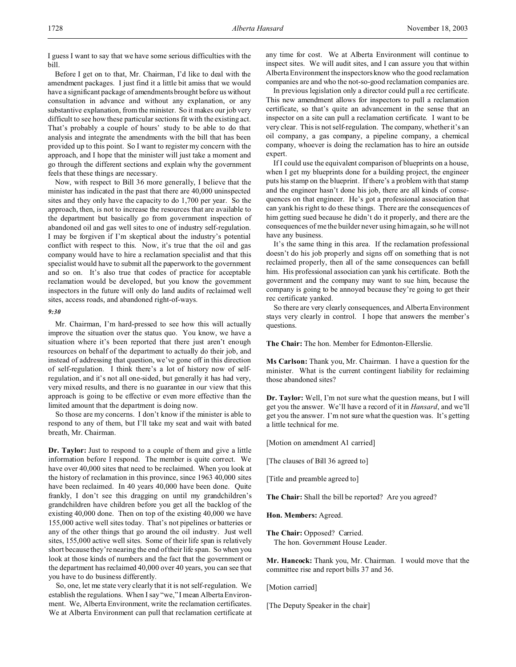I guess I want to say that we have some serious difficulties with the bill.

Before I get on to that, Mr. Chairman, I'd like to deal with the amendment packages. I just find it a little bit amiss that we would have a significant package of amendments brought before us without consultation in advance and without any explanation, or any substantive explanation, from the minister. So it makes our job very difficult to see how these particular sections fit with the existing act. That's probably a couple of hours' study to be able to do that analysis and integrate the amendments with the bill that has been provided up to this point. So I want to register my concern with the approach, and I hope that the minister will just take a moment and go through the different sections and explain why the government feels that these things are necessary.

Now, with respect to Bill 36 more generally, I believe that the minister has indicated in the past that there are 40,000 uninspected sites and they only have the capacity to do 1,700 per year. So the approach, then, is not to increase the resources that are available to the department but basically go from government inspection of abandoned oil and gas well sites to one of industry self-regulation. I may be forgiven if I'm skeptical about the industry's potential conflict with respect to this. Now, it's true that the oil and gas company would have to hire a reclamation specialist and that this specialist would have to submit all the paperwork to the government and so on. It's also true that codes of practice for acceptable reclamation would be developed, but you know the government inspectors in the future will only do land audits of reclaimed well sites, access roads, and abandoned right-of-ways.

#### *9:30*

Mr. Chairman, I'm hard-pressed to see how this will actually improve the situation over the status quo. You know, we have a situation where it's been reported that there just aren't enough resources on behalf of the department to actually do their job, and instead of addressing that question, we've gone off in this direction of self-regulation. I think there's a lot of history now of selfregulation, and it's not all one-sided, but generally it has had very, very mixed results, and there is no guarantee in our view that this approach is going to be effective or even more effective than the limited amount that the department is doing now.

So those are my concerns. I don't know if the minister is able to respond to any of them, but I'll take my seat and wait with bated breath, Mr. Chairman.

**Dr. Taylor:** Just to respond to a couple of them and give a little information before I respond. The member is quite correct. We have over 40,000 sites that need to be reclaimed. When you look at the history of reclamation in this province, since 1963 40,000 sites have been reclaimed. In 40 years 40,000 have been done. Quite frankly, I don't see this dragging on until my grandchildren's grandchildren have children before you get all the backlog of the existing 40,000 done. Then on top of the existing 40,000 we have 155,000 active well sites today. That's not pipelines or batteries or any of the other things that go around the oil industry. Just well sites, 155,000 active well sites. Some of their life span is relatively short because they're nearing the end of their life span. So when you look at those kinds of numbers and the fact that the government or the department has reclaimed 40,000 over 40 years, you can see that you have to do business differently.

So, one, let me state very clearly that it is not self-regulation. We establish the regulations. When I say "we," I mean Alberta Environment. We, Alberta Environment, write the reclamation certificates. We at Alberta Environment can pull that reclamation certificate at any time for cost. We at Alberta Environment will continue to inspect sites. We will audit sites, and I can assure you that within Alberta Environment the inspectors know who the good reclamation companies are and who the not-so-good reclamation companies are.

In previous legislation only a director could pull a rec certificate. This new amendment allows for inspectors to pull a reclamation certificate, so that's quite an advancement in the sense that an inspector on a site can pull a reclamation certificate. I want to be very clear. This is not self-regulation. The company, whether it's an oil company, a gas company, a pipeline company, a chemical company, whoever is doing the reclamation has to hire an outside expert.

If I could use the equivalent comparison of blueprints on a house, when I get my blueprints done for a building project, the engineer puts his stamp on the blueprint. If there's a problem with that stamp and the engineer hasn't done his job, there are all kinds of consequences on that engineer. He's got a professional association that can yank his right to do these things. There are the consequences of him getting sued because he didn't do it properly, and there are the consequences of me the builder never using him again, so he will not have any business.

It's the same thing in this area. If the reclamation professional doesn't do his job properly and signs off on something that is not reclaimed properly, then all of the same consequences can befall him. His professional association can yank his certificate. Both the government and the company may want to sue him, because the company is going to be annoyed because they're going to get their rec certificate yanked.

So there are very clearly consequences, and Alberta Environment stays very clearly in control. I hope that answers the member's questions.

**The Chair:** The hon. Member for Edmonton-Ellerslie.

**Ms Carlson:** Thank you, Mr. Chairman. I have a question for the minister. What is the current contingent liability for reclaiming those abandoned sites?

**Dr. Taylor:** Well, I'm not sure what the question means, but I will get you the answer. We'll have a record of it in *Hansard*, and we'll get you the answer. I'm not sure what the question was. It's getting a little technical for me.

[Motion on amendment A1 carried]

[The clauses of Bill 36 agreed to]

[Title and preamble agreed to]

**The Chair:** Shall the bill be reported? Are you agreed?

**Hon. Members:** Agreed.

**The Chair:** Opposed? Carried. The hon. Government House Leader.

**Mr. Hancock:** Thank you, Mr. Chairman. I would move that the committee rise and report bills 37 and 36.

[Motion carried]

[The Deputy Speaker in the chair]